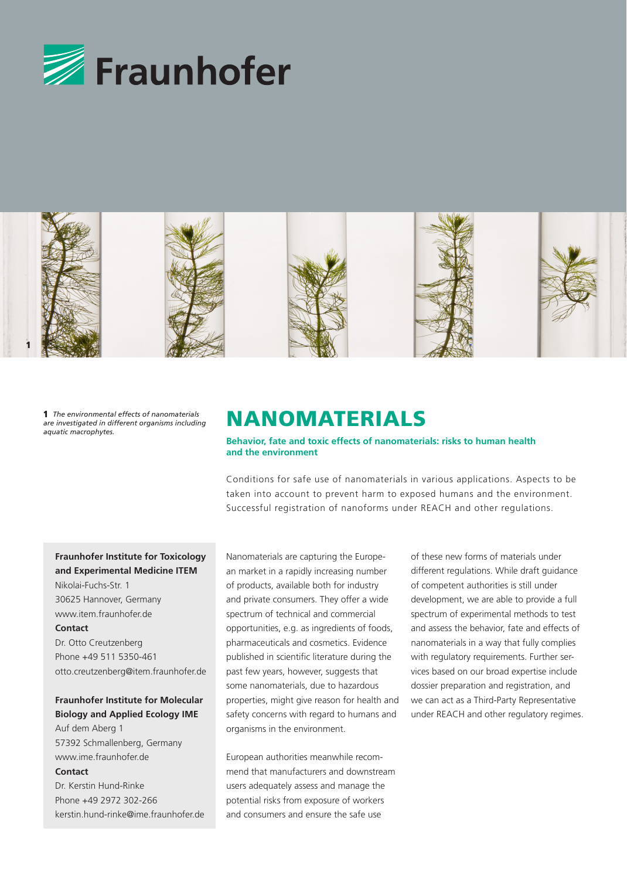



1 *The environmental effects of nanomaterials are investigated in different organisms including aquatic macrophytes.*

# NANOMATERIALS

**Behavior, fate and toxic effects of nanomaterials: risks to human health and the environment**

Conditions for safe use of nanomaterials in various applications. Aspects to be taken into account to prevent harm to exposed humans and the environment. Successful registration of nanoforms under REACH and other regulations.

## **Fraunhofer Institute for Toxicology and Experimental Medicine ITEM**

Nikolai-Fuchs-Str. 1 30625 Hannover, Germany www.item.fraunhofer.de

#### **Contact**

Dr. Otto Creutzenberg Phone +49 511 5350-461 otto.creutzenberg@item.fraunhofer.de

## **Fraunhofer Institute for Molecular Biology and Applied Ecology IME**

Auf dem Aberg 1 57392 Schmallenberg, Germany www.ime.fraunhofer.de

#### **Contact**

Dr. Kerstin Hund-Rinke Phone +49 2972 302-266 kerstin.hund-rinke@ime.fraunhofer.de Nanomaterials are capturing the European market in a rapidly increasing number of products, available both for industry and private consumers. They offer a wide spectrum of technical and commercial opportunities, e.g. as ingredients of foods, pharmaceuticals and cosmetics. Evidence published in scientific literature during the past few years, however, suggests that some nanomaterials, due to hazardous properties, might give reason for health and safety concerns with regard to humans and organisms in the environment.

European authorities meanwhile recommend that manufacturers and downstream users adequately assess and manage the potential risks from exposure of workers and consumers and ensure the safe use

of these new forms of materials under different regulations. While draft guidance of competent authorities is still under development, we are able to provide a full spectrum of experimental methods to test and assess the behavior, fate and effects of nanomaterials in a way that fully complies with regulatory requirements. Further services based on our broad expertise include dossier preparation and registration, and we can act as a Third-Party Representative under REACH and other regulatory regimes.